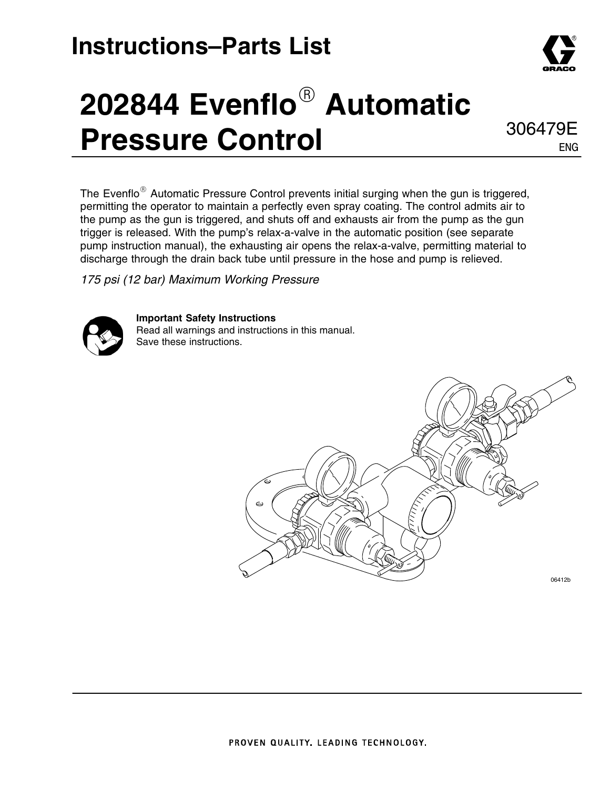### **Instructions–Parts List**





306479E ENG

The Evenflo $^{\circledR}$  Automatic Pressure Control prevents initial surging when the gun is triggered, permitting the operator to maintain a perfectly even spray coating. The control admits air to the pump as the gun is triggered, and shuts off and exhausts air from the pump as the gun trigger is released. With the pump's relax-a-valve in the automatic position (see separate pump instruction manual), the exhausting air opens the relax-a-valve, permitting material to discharge through the drain back tube until pressure in the hose and pump is relieved.

*175 psi (12 bar) Maximum Working Pressure*



**Important Safety Instructions** Read all warnings and instructions in this manual. Save these instructions.

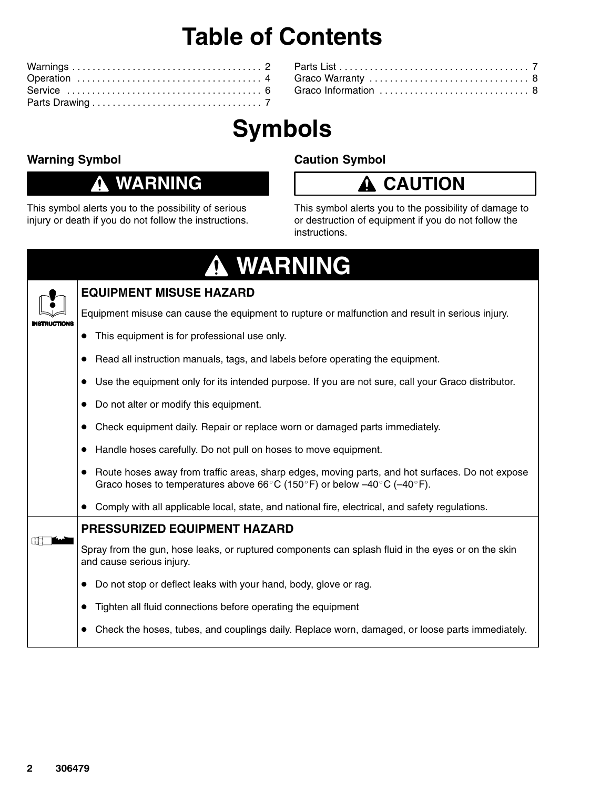## **Table of Contents**

## **Symbols**

#### **Warning Symbol**

#### **WARNING**

This symbol alerts you to the possibility of serious injury or death if you do not follow the instructions.

#### **Caution Symbol**

#### **CAUTION**

This symbol alerts you to the possibility of damage to or destruction of equipment if you do not follow the instructions.

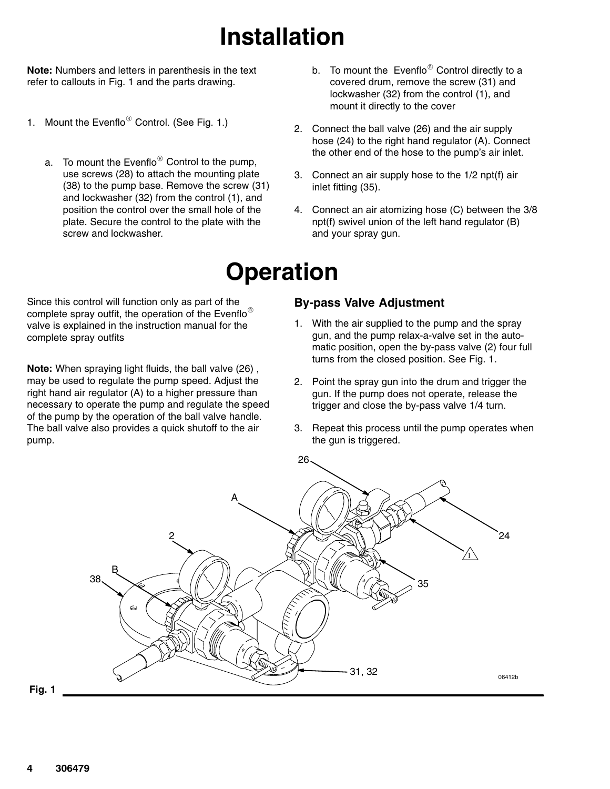## **Installation**

**Note:** Numbers and letters in parenthesis in the text refer to callouts in Fig. 1 and the parts drawing.

- 1. Mount the Evenflo $^{\circledR}$  Control. (See Fig. 1.)
	- a. To mount the Evenflo $^\circledR$  Control to the pump, use screws (28) to attach the mounting plate (38) to the pump base. Remove the screw (31) and lockwasher (32) from the control (1), and position the control over the small hole of the plate. Secure the control to the plate with the screw and lockwasher.
- b. To mount the Evenflo $^{\circledR}$  Control directly to a covered drum, remove the screw (31) and lockwasher (32) from the control (1), and mount it directly to the cover
- 2. Connect the ball valve (26) and the air supply hose (24) to the right hand regulator (A). Connect the other end of the hose to the pump's air inlet.
- 3. Connect an air supply hose to the 1/2 npt(f) air inlet fitting (35).
- 4. Connect an air atomizing hose (C) between the 3/8 npt(f) swivel union of the left hand regulator (B) and your spray gun.

#### **Operation**

Since this control will function only as part of the complete spray outfit, the operation of the Evenflo<sup>®</sup> valve is explained in the instruction manual for the complete spray outfits

**Note:** When spraying light fluids, the ball valve (26) , may be used to regulate the pump speed. Adjust the right hand air regulator (A) to a higher pressure than necessary to operate the pump and regulate the speed of the pump by the operation of the ball valve handle. The ball valve also provides a quick shutoff to the air pump.

#### **By-pass Valve Adjustment**

- 1. With the air supplied to the pump and the spray gun, and the pump relax-a-valve set in the automatic position, open the by-pass valve (2) four full turns from the closed position. See Fig. 1.
- 2. Point the spray gun into the drum and trigger the gun. If the pump does not operate, release the trigger and close the by-pass valve 1/4 turn.
- 3. Repeat this process until the pump operates when the gun is triggered.



**Fig. 1**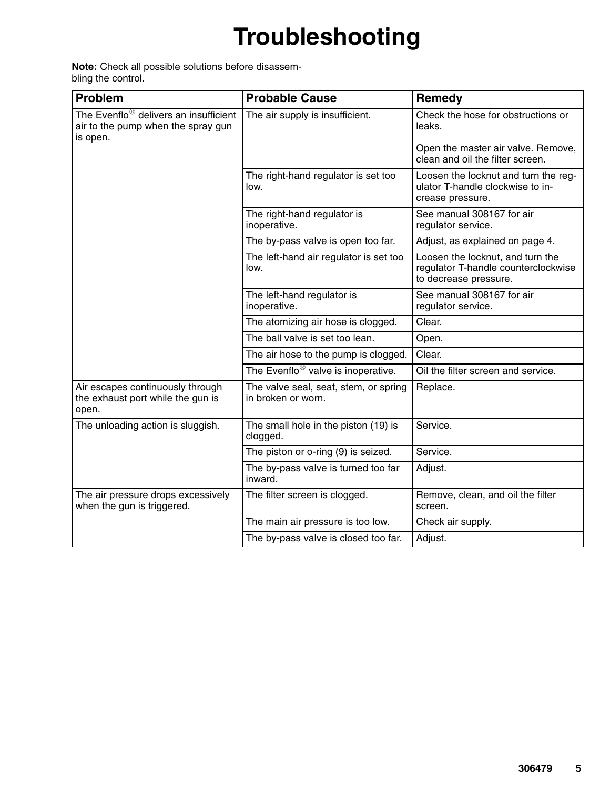# **Troubleshooting**

**Note:** Check all possible solutions before disassembling the control.

| <b>Problem</b>                                                                                      | <b>Probable Cause</b>                                       | Remedy                                                                                           |  |
|-----------------------------------------------------------------------------------------------------|-------------------------------------------------------------|--------------------------------------------------------------------------------------------------|--|
| The Evenflo <sup>®</sup> delivers an insufficient<br>air to the pump when the spray gun<br>is open. | The air supply is insufficient.                             | Check the hose for obstructions or<br>leaks.                                                     |  |
|                                                                                                     |                                                             | Open the master air valve. Remove,<br>clean and oil the filter screen.                           |  |
|                                                                                                     | The right-hand regulator is set too<br>low.                 | Loosen the locknut and turn the reg-<br>ulator T-handle clockwise to in-<br>crease pressure.     |  |
|                                                                                                     | The right-hand regulator is<br>inoperative.                 | See manual 308167 for air<br>regulator service.                                                  |  |
|                                                                                                     | The by-pass valve is open too far.                          | Adjust, as explained on page 4.                                                                  |  |
|                                                                                                     | The left-hand air regulator is set too<br>low.              | Loosen the locknut, and turn the<br>regulator T-handle counterclockwise<br>to decrease pressure. |  |
|                                                                                                     | The left-hand regulator is<br>inoperative.                  | See manual 308167 for air<br>regulator service.                                                  |  |
|                                                                                                     | The atomizing air hose is clogged.                          | Clear.                                                                                           |  |
|                                                                                                     | The ball valve is set too lean.                             | Open.                                                                                            |  |
|                                                                                                     | The air hose to the pump is clogged.                        | Clear.                                                                                           |  |
|                                                                                                     | The Evenflo <sup>®</sup> valve is inoperative.              | Oil the filter screen and service.                                                               |  |
| Air escapes continuously through<br>the exhaust port while the gun is<br>open.                      | The valve seal, seat, stem, or spring<br>in broken or worn. | Replace.                                                                                         |  |
| The unloading action is sluggish.                                                                   | The small hole in the piston (19) is<br>clogged.            | Service.                                                                                         |  |
|                                                                                                     | The piston or o-ring (9) is seized.                         | Service.                                                                                         |  |
|                                                                                                     | The by-pass valve is turned too far<br>inward.              | Adjust.                                                                                          |  |
| The air pressure drops excessively<br>when the gun is triggered.                                    | The filter screen is clogged.                               | Remove, clean, and oil the filter<br>screen.                                                     |  |
|                                                                                                     | The main air pressure is too low.                           | Check air supply.                                                                                |  |
|                                                                                                     | The by-pass valve is closed too far.                        | Adjust.                                                                                          |  |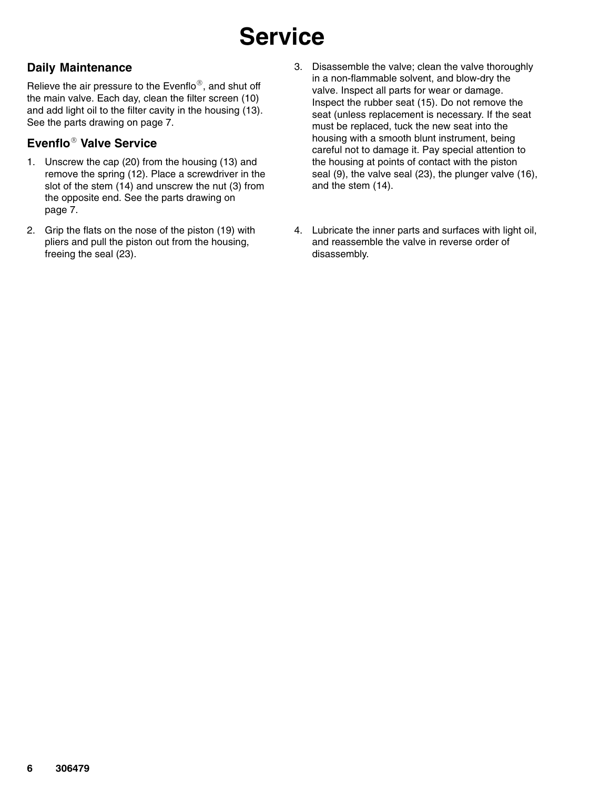# **Service**

#### **Daily Maintenance**

Relieve the air pressure to the Evenflo $^{\circledR}$ , and shut off the main valve. Each day, clean the filter screen (10) and add light oil to the filter cavity in the housing (13). See the parts drawing on page 7.

#### **Evenflo**- **Valve Service**

- 1. Unscrew the cap (20) from the housing (13) and remove the spring (12). Place a screwdriver in the slot of the stem (14) and unscrew the nut (3) from the opposite end. See the parts drawing on page 7.
- 2. Grip the flats on the nose of the piston (19) with pliers and pull the piston out from the housing, freeing the seal (23).
- 3. Disassemble the valve; clean the valve thoroughly in a non-flammable solvent, and blow-dry the valve. Inspect all parts for wear or damage. Inspect the rubber seat (15). Do not remove the seat (unless replacement is necessary. If the seat must be replaced, tuck the new seat into the housing with a smooth blunt instrument, being careful not to damage it. Pay special attention to the housing at points of contact with the piston seal (9), the valve seal (23), the plunger valve (16), and the stem (14).
- 4. Lubricate the inner parts and surfaces with light oil, and reassemble the valve in reverse order of disassembly.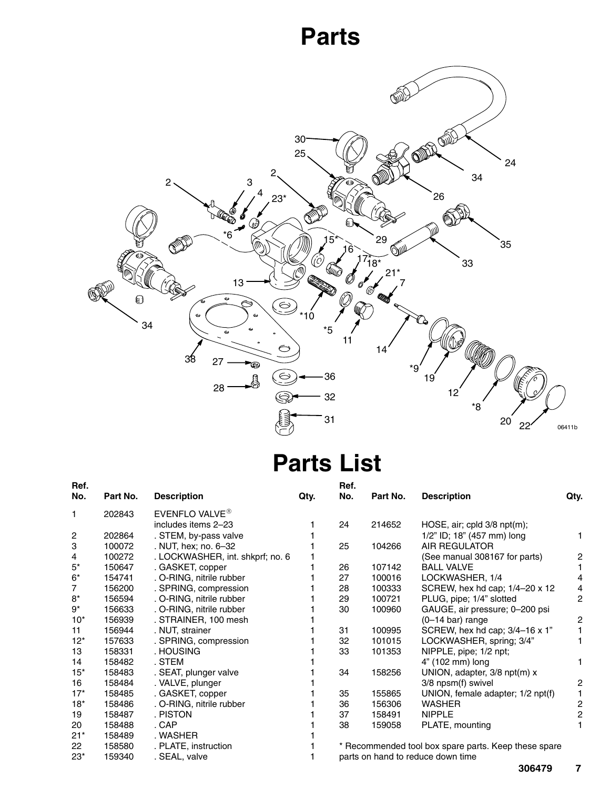### **Parts**



#### **Parts List**

| Ref.           |          |                                  |      | Ref.                              |          |                                                      |      |
|----------------|----------|----------------------------------|------|-----------------------------------|----------|------------------------------------------------------|------|
| No.            | Part No. | <b>Description</b>               | Qty. | No.                               | Part No. | <b>Description</b>                                   | Qty. |
| 1              | 202843   | EVENFLO VALVE <sup>®</sup>       |      |                                   |          |                                                      |      |
|                |          | includes items 2-23              |      | 24                                | 214652   | HOSE, air; cpld $3/8$ npt $(m)$ ;                    |      |
| 2              | 202864   | . STEM, by-pass valve            |      |                                   |          | 1/2" ID; 18" (457 mm) long                           |      |
| 3              | 100072   | . NUT, hex; no. 6-32             |      | 25                                | 104266   | <b>AIR REGULATOR</b>                                 |      |
| 4              | 100272   | . LOCKWASHER, int. shkprf; no. 6 |      |                                   |          | (See manual 308167 for parts)                        | 2    |
| $5^*$          | 150647   | . GASKET, copper                 |      | 26                                | 107142   | <b>BALL VALVE</b>                                    |      |
| $6*$           | 154741   | . O-RING, nitrile rubber         |      | 27                                | 100016   | LOCKWASHER, 1/4                                      | 4    |
| $\overline{7}$ | 156200   | . SPRING, compression            |      | 28                                | 100333   | SCREW, hex hd cap; 1/4-20 x 12                       | 4    |
| $8*$           | 156594   | . O-RING, nitrile rubber         |      | 29                                | 100721   | PLUG, pipe; 1/4" slotted                             | 2    |
| $9^*$          | 156633   | . O-RING, nitrile rubber         |      | 30                                | 100960   | GAUGE, air pressure; 0-200 psi                       |      |
| $10*$          | 156939   | . STRAINER, 100 mesh             |      |                                   |          | $(0-14$ bar) range                                   | 2    |
| 11             | 156944   | . NUT, strainer                  |      | 31                                | 100995   | SCREW, hex hd cap; 3/4-16 x 1"                       |      |
| $12*$          | 157633   | . SPRING, compression            |      | 32                                | 101015   | LOCKWASHER, spring; 3/4"                             |      |
| 13             | 158331   | . HOUSING                        |      | 33                                | 101353   | NIPPLE, pipe; 1/2 npt;                               |      |
| 14             | 158482   | . STEM                           |      |                                   |          | 4" (102 mm) long                                     |      |
| $15*$          | 158483   | . SEAT, plunger valve            |      | 34                                | 158256   | UNION, adapter, 3/8 npt(m) x                         |      |
| 16             | 158484   | . VALVE, plunger                 |      |                                   |          | 3/8 npsm(f) swivel                                   | 2    |
| $17*$          | 158485   | . GASKET, copper                 |      | 35                                | 155865   | UNION, female adapter; 1/2 npt(f)                    |      |
| $18*$          | 158486   | . O-RING, nitrile rubber         |      | 36                                | 156306   | <b>WASHER</b>                                        | 2    |
| 19             | 158487   | . PISTON                         |      | 37                                | 158491   | <b>NIPPLE</b>                                        | 2    |
| 20             | 158488   | . CAP                            |      | 38                                | 159058   | PLATE, mounting                                      |      |
| $21*$          | 158489   | . WASHER                         |      |                                   |          |                                                      |      |
| 22             | 158580   | . PLATE, instruction             |      |                                   |          | * Recommended tool box spare parts. Keep these spare |      |
| $23*$          | 159340   | . SEAL, valve                    |      | parts on hand to reduce down time |          |                                                      |      |